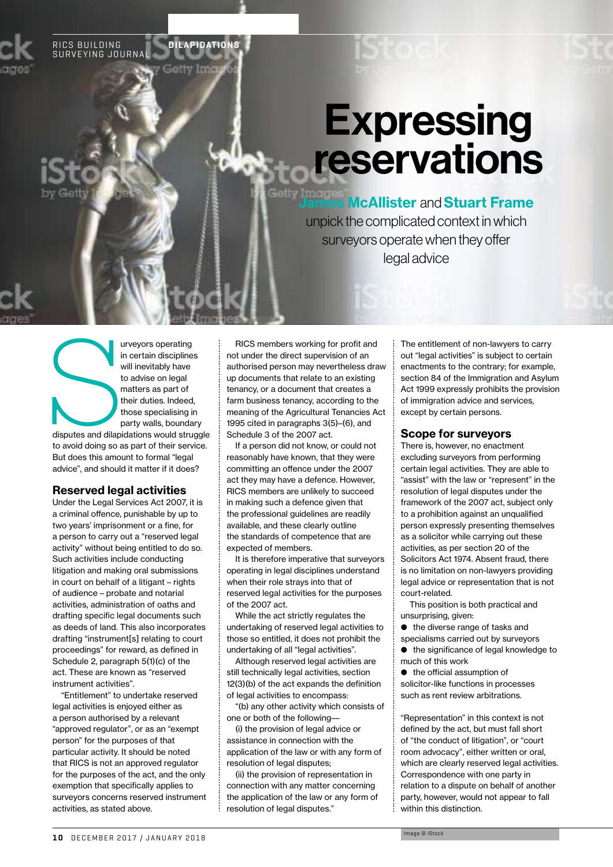RICS BUILDING SURVEYING JOURNAL **DILAPIDATIONS**

# **Expressing** reservations

**James McAllister and Stuart Frame** unpick the complicated context in which surveyors operate when they offer legal advice

ED UNIVERSITY OF STATE OF STATE OF STATE OF STATE OF STATE OF STATE OF STATE OF STATE OF STATE OF STATE OF STATE OF STATE OF STATE OF STATE OF STATE OF STATE OF STATE OF STATE OF STATE OF STATE OF STATE OF STATE OF STATE O in certain disciplines will inevitably have to advise on legal matters as part of their duties. Indeed, those specialising in party walls, boundary

disputes and dilapidations would struggle to avoid doing so as part of their service. But does this amount to formal "legal advice", and should it matter if it does?

## Reserved legal activities

Under the Legal Services Act 2007, it is a criminal offence, punishable by up to two years' imprisonment or a fine, for a person to carry out a "reserved legal activity" without being entitled to do so. Such activities include conducting litigation and making oral submissions in court on behalf of a litigant – rights of audience – probate and notarial activities, administration of oaths and drafting specific legal documents such as deeds of land. This also incorporates drafting "instrument[s] relating to court proceedings" for reward, as defined in Schedule 2, paragraph 5(1)(c) of the act. These are known as "reserved instrument activities".

"Entitlement" to undertake reserved legal activities is enjoyed either as a person authorised by a relevant "approved regulator", or as an "exempt person" for the purposes of that particular activity. It should be noted that RICS is not an approved regulator for the purposes of the act, and the only exemption that specifically applies to surveyors concerns reserved instrument activities, as stated above.

RICS members working for profit and not under the direct supervision of an authorised person may nevertheless draw up documents that relate to an existing tenancy, or a document that creates a farm business tenancy, according to the meaning of the Agricultural Tenancies Act 1995 cited in paragraphs 3(5)–(6), and Schedule 3 of the 2007 act.

If a person did not know, or could not reasonably have known, that they were committing an offence under the 2007 act they may have a defence. However, RICS members are unlikely to succeed in making such a defence given that the professional guidelines are readily available, and these clearly outline the standards of competence that are expected of members.

It is therefore imperative that surveyors operating in legal disciplines understand when their role strays into that of reserved legal activities for the purposes of the 2007 act.

While the act strictly regulates the undertaking of reserved legal activities to those so entitled, it does not prohibit the undertaking of all "legal activities".

Although reserved legal activities are still technically legal activities, section 12(3)(b) of the act expands the definition of legal activities to encompass:

"(b) any other activity which consists of one or both of the following––

(i) the provision of legal advice or assistance in connection with the application of the law or with any form of resolution of legal disputes:

(ii) the provision of representation in connection with any matter concerning the application of the law or any form of resolution of legal disputes."

The entitlement of non-lawyers to carry out "legal activities" is subject to certain enactments to the contrary; for example, section 84 of the Immigration and Asylum Act 1999 expressly prohibits the provision of immigration advice and services, except by certain persons.

#### Scope for surveyors

There is, however, no enactment excluding surveyors from performing certain legal activities. They are able to "assist" with the law or "represent" in the resolution of legal disputes under the framework of the 2007 act, subject only to a prohibition against an unqualified person expressly presenting themselves as a solicitor while carrying out these activities, as per section 20 of the Solicitors Act 1974. Absent fraud, there is no limitation on non-lawyers providing legal advice or representation that is not court-related.

This position is both practical and unsurprising, given:

 $\bullet$  the diverse range of tasks and specialisms carried out by surveyors  $\bullet$  the significance of legal knowledge to much of this work

 $\bullet$  the official assumption of solicitor-like functions in processes such as rent review arbitrations.

"Representation" in this context is not defined by the act, but must fall short of "the conduct of litigation", or "court room advocacy", either written or oral, which are clearly reserved legal activities. Correspondence with one party in relation to a dispute on behalf of another party, however, would not appear to fall within this distinction.